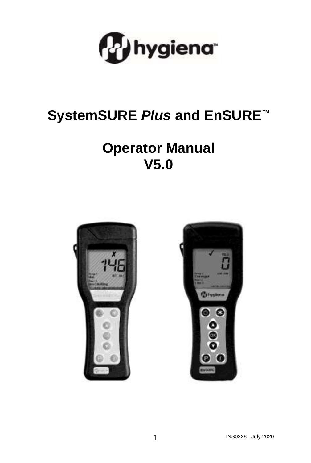

# **SystemSURE** *Plus* **and EnSURE™**

# **Operator Manual V5.0**



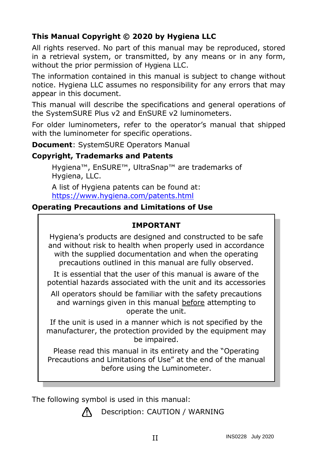# **This Manual Copyright © 2020 by Hygiena LLC**

All rights reserved. No part of this manual may be reproduced, stored in a retrieval system, or transmitted, by any means or in any form, without the prior permission of Hygiena LLC.

The information contained in this manual is subject to change without notice. Hygiena LLC assumes no responsibility for any errors that may appear in this document.

This manual will describe the specifications and general operations of the SystemSURE Plus v2 and EnSURE v2 luminometers.

For older luminometers, refer to the operator's manual that shipped with the luminometer for specific operations.

**Document**: SystemSURE Operators Manual

#### **Copyright, Trademarks and Patents**

Hygiena™, EnSURE™, UltraSnap™ are trademarks of Hygiena, LLC.

A list of Hygiena patents can be found at: <https://www.hygiena.com/patents.html>

### **Operating Precautions and Limitations of Use**

### **IMPORTANT**

Hygiena's products are designed and constructed to be safe and without risk to health when properly used in accordance with the supplied documentation and when the operating precautions outlined in this manual are fully observed.

It is essential that the user of this manual is aware of the potential hazards associated with the unit and its accessories

All operators should be familiar with the safety precautions and warnings given in this manual before attempting to operate the unit.

If the unit is used in a manner which is not specified by the manufacturer, the protection provided by the equipment may be impaired.

Please read this manual in its entirety and the "Operating Precautions and Limitations of Use" at the end of the manual before using the Luminometer.

The following symbol is used in this manual:



Description: CAUTION / WARNING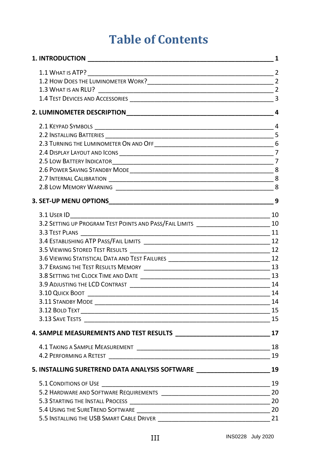# **Table of Contents**

| 3.8 SETTING THE CLOCK TIME AND DATE THE RESIDENCE OF A SETTING THE CLOCK TIME AND DATE THE RESIDENCE OF A SETTING THE RESIDENCE OF A SETTING OF A SETTING OF A SETTING OF A SETTING OF A SETTING OF A SETTING OF A SETTING OF |                |
|-------------------------------------------------------------------------------------------------------------------------------------------------------------------------------------------------------------------------------|----------------|
| 3.9 ADJUSTING THE LCD CONTRAST TELEVISION CONTROL TO A 24 ADDITIONAL THE RESIDENCE OF A 24                                                                                                                                    |                |
|                                                                                                                                                                                                                               |                |
|                                                                                                                                                                                                                               |                |
|                                                                                                                                                                                                                               |                |
|                                                                                                                                                                                                                               |                |
|                                                                                                                                                                                                                               |                |
|                                                                                                                                                                                                                               |                |
|                                                                                                                                                                                                                               |                |
| 5. INSTALLING SURETREND DATA ANALYSIS SOFTWARE _________________________________19                                                                                                                                            |                |
|                                                                                                                                                                                                                               |                |
|                                                                                                                                                                                                                               |                |
|                                                                                                                                                                                                                               |                |
|                                                                                                                                                                                                                               |                |
| 5.5 INSTALLING THE USB SMART CABLE DRIVER                                                                                                                                                                                     | $\frac{21}{2}$ |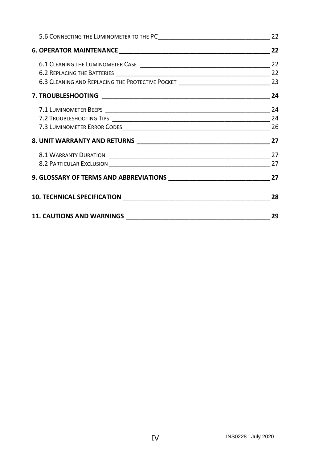|                                 | 22 |
|---------------------------------|----|
|                                 |    |
|                                 |    |
|                                 |    |
|                                 |    |
|                                 |    |
|                                 |    |
|                                 |    |
|                                 |    |
| 8. UNIT WARRANTY AND RETURNS 27 |    |
|                                 |    |
|                                 |    |
|                                 |    |
|                                 | 28 |
|                                 | 29 |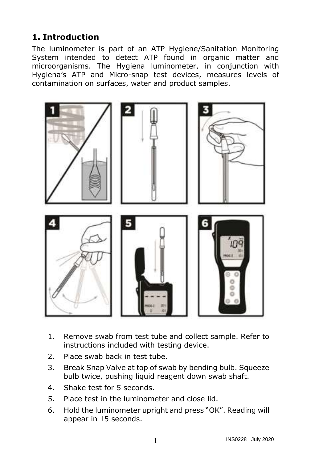# <span id="page-4-0"></span>**1. Introduction**

The luminometer is part of an ATP Hygiene/Sanitation Monitoring System intended to detect ATP found in organic matter and microorganisms. The Hygiena luminometer, in conjunction with Hygiena's ATP and Micro-snap test devices, measures levels of contamination on surfaces, water and product samples.



- 1. Remove swab from test tube and collect sample. Refer to instructions included with testing device.
- 2. Place swab back in test tube.
- 3. Break Snap Valve at top of swab by bending bulb. Squeeze bulb twice, pushing liquid reagent down swab shaft.
- 4. Shake test for 5 seconds.
- 5. Place test in the luminometer and close lid.
- 6. Hold the luminometer upright and press "OK". Reading will appear in 15 seconds.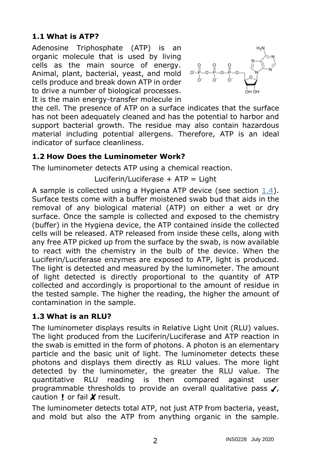# <span id="page-5-0"></span>**1.1 What is ATP?**

Adenosine Triphosphate (ATP) is an organic molecule that is used by living cells as the main source of energy. Animal, plant, bacterial, yeast, and mold cells produce and break down ATP in order to drive a number of biological processes. It is the main energy-transfer molecule in



the cell. The presence of ATP on a surface indicates that the surface has not been adequately cleaned and has the potential to harbor and support bacterial growth. The residue may also contain hazardous material including potential allergens. Therefore, ATP is an ideal indicator of surface cleanliness.

### <span id="page-5-1"></span>**1.2 How Does the Luminometer Work?**

The luminometer detects ATP using a chemical reaction.

Luciferin/Luciferase  $+$  ATP = Light

A sample is collected using a Hygiena ATP device (see section [1.4\)](#page-6-0). Surface tests come with a buffer moistened swab bud that aids in the removal of any biological material (ATP) on either a wet or dry surface. Once the sample is collected and exposed to the chemistry (buffer) in the Hygiena device, the ATP contained inside the collected cells will be released. ATP released from inside these cells, along with any free ATP picked up from the surface by the swab, is now available to react with the chemistry in the bulb of the device. When the Luciferin/Luciferase enzymes are exposed to ATP, light is produced. The light is detected and measured by the luminometer. The amount of light detected is directly proportional to the quantity of ATP collected and accordingly is proportional to the amount of residue in the tested sample. The higher the reading, the higher the amount of contamination in the sample.

#### <span id="page-5-2"></span>**1.3 What is an RLU?**

The luminometer displays results in Relative Light Unit (RLU) values. The light produced from the Luciferin/Luciferase and ATP reaction in the swab is emitted in the form of photons. A photon is an elementary particle and the basic unit of light. The luminometer detects these photons and displays them directly as RLU values. The more light detected by the luminometer, the greater the RLU value. The quantitative RLU reading is then compared against user programmable thresholds to provide an overall qualitative pass  $\boldsymbol{J}$ , caution  $\mathsf{I}$  or fail  $\mathsf{X}$  result.

The luminometer detects total ATP, not just ATP from bacteria, yeast, and mold but also the ATP from anything organic in the sample.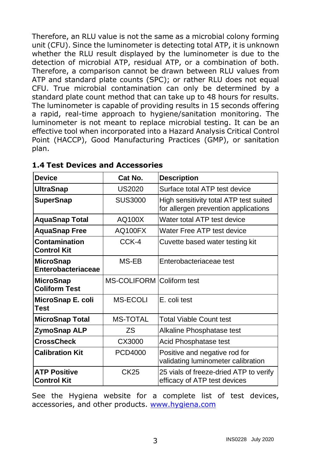Therefore, an RLU value is not the same as a microbial colony forming unit (CFU). Since the luminometer is detecting total ATP, it is unknown whether the RLU result displayed by the luminometer is due to the detection of microbial ATP, residual ATP, or a combination of both. Therefore, a comparison cannot be drawn between RLU values from ATP and standard plate counts (SPC); or rather RLU does not equal CFU. True microbial contamination can only be determined by a standard plate count method that can take up to 48 hours for results. The luminometer is capable of providing results in 15 seconds offering a rapid, real-time approach to hygiene/sanitation monitoring. The luminometer is not meant to replace microbial testing. It can be an effective tool when incorporated into a Hazard Analysis Critical Control Point (HACCP), Good Manufacturing Practices (GMP), or sanitation plan.

| <b>Device</b>                      | Cat No.                   | <b>Description</b>                                                             |
|------------------------------------|---------------------------|--------------------------------------------------------------------------------|
| UltraSnap                          | <b>US2020</b>             | Surface total ATP test device                                                  |
| <b>SuperSnap</b>                   | <b>SUS3000</b>            | High sensitivity total ATP test suited<br>for allergen prevention applications |
| <b>AquaSnap Total</b>              | AQ100X                    | Water total ATP test device                                                    |
| <b>AquaSnap Free</b>               | AQ100FX                   | Water Free ATP test device                                                     |
| Contamination<br>Control Kit       | CCK-4                     | Cuvette based water testing kit                                                |
| MicroSnap<br>Enterobacteriaceae    | MS-EB                     | Enterobacteriaceae test                                                        |
| MicroSnap<br><b>Coliform Test</b>  | MS-COLIFORM Coliform test |                                                                                |
| MicroSnap E. coli<br>Test          | <b>MS-ECOLI</b>           | F. coli test                                                                   |
| <b>MicroSnap Total</b>             | <b>MS-TOTAL</b>           | Total Viable Count test                                                        |
| ZymoSnap ALP                       | ΖS                        | Alkaline Phosphatase test                                                      |
| <b>CrossCheck</b>                  | CX3000                    | Acid Phosphatase test                                                          |
| <b>Calibration Kit</b>             | PCD4000                   | Positive and negative rod for<br>validating luminometer calibration            |
| <b>ATP Positive</b><br>Control Kit | <b>CK25</b>               | 25 vials of freeze-dried ATP to verify<br>efficacy of ATP test devices         |

<span id="page-6-0"></span>**1.4 Test Devices and Accessories**

See the Hygiena website for a complete list of test devices, accessories, and other products. [www.hygiena.com](http://www.hygiena.com/)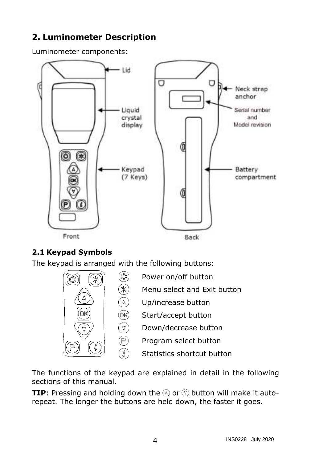# <span id="page-7-0"></span>**2. Luminometer Description**

Luminometer components:



# <span id="page-7-1"></span>**2.1 Keypad Symbols**

The keypad is arranged with the following buttons:

Ж  $\widehat{\mathbb{A}}$  $@$ 

 $\begin{matrix} \nabla \ \nabla \ \nabla \end{matrix}$ 

ิชิ



- Power on/off button
- Menu select and Exit button
- Up/increase button
- Start/accept button
	- Down/decrease button
	- Program select button
		- Statistics shortcut button

The functions of the keypad are explained in detail in the following sections of this manual.

**TIP**: Pressing and holding down the  $\textcircled{a}$  or  $\textcircled{b}$  button will make it autorepeat. The longer the buttons are held down, the faster it goes.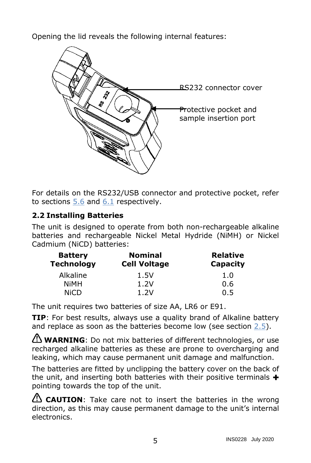Opening the lid reveals the following internal features:



For details on the RS232/USB connector and protective pocket, refer to sections  $5.6$  and  $6.1$  respectively.

## <span id="page-8-0"></span>**2.2 Installing Batteries**

The unit is designed to operate from both non-rechargeable alkaline batteries and rechargeable Nickel Metal Hydride (NiMH) or Nickel Cadmium (NiCD) batteries:

| <b>Battery</b><br><b>Technology</b> | <b>Nominal</b><br><b>Cell Voltage</b> | <b>Relative</b><br>Capacity |
|-------------------------------------|---------------------------------------|-----------------------------|
| Alkaline                            | 1.5V                                  | 1.0                         |
| NiMH                                | 1.2V                                  | 0.6                         |
| <b>NiCD</b>                         | 1.2V                                  | 0.5                         |

The unit requires two batteries of size AA, LR6 or E91.

**TIP**: For best results, always use a quality brand of Alkaline battery and replace as soon as the batteries become low (see section [2.5\)](#page-10-1).

WARNING: Do not mix batteries of different technologies, or use recharged alkaline batteries as these are prone to overcharging and leaking, which may cause permanent unit damage and malfunction.

The batteries are fitted by unclipping the battery cover on the back of the unit, and inserting both batteries with their positive terminals  $\boldsymbol{+}$ pointing towards the top of the unit.

**CAUTION**: Take care not to insert the batteries in the wrong direction, as this may cause permanent damage to the unit's internal electronics.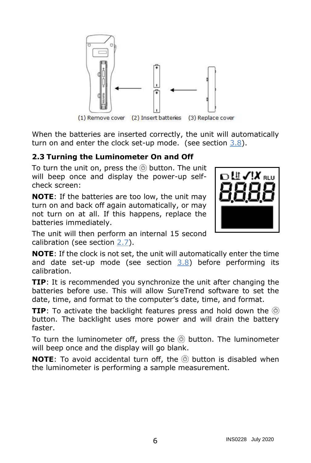

When the batteries are inserted correctly, the unit will automatically turn on and enter the clock set-up mode. (see section [3.8\)](#page-16-1).

## <span id="page-9-0"></span>**2.3 Turning the Luminometer On and Off**

To turn the unit on, press the  $\circledcirc$  button. The unit will beep once and display the power-up selfcheck screen:

**NOTE**: If the batteries are too low, the unit may turn on and back off again automatically, or may not turn on at all. If this happens, replace the batteries immediately.



The unit will then perform an internal 15 second calibration (see section [2.7\)](#page-11-3).

**NOTE**: If the clock is not set, the unit will automatically enter the time and date set-up mode (see section [3.8\)](#page-16-1) before performing its calibration.

**TIP**: It is recommended you synchronize the unit after changing the batteries before use. This will allow SureTrend software to set the date, time, and format to the computer's date, time, and format.

**TIP**: To activate the backlight features press and hold down the  $\circledcirc$ button. The backlight uses more power and will drain the battery faster.

To turn the luminometer off, press the  $\circledcirc$  button. The luminometer will beep once and the display will go blank.

**NOTE**: To avoid accidental turn off, the **button** is disabled when the luminometer is performing a sample measurement.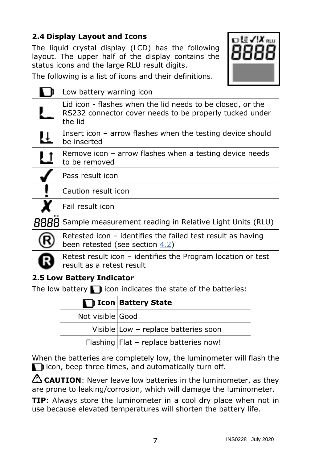# **2.4 Display Layout and Icons**

<span id="page-10-0"></span>The liquid crystal display (LCD) has the following layout. The upper half of the display contains the status icons and the large RLU result digits.



The following is a list of icons and their definitions.

|   | Low battery warning icon                                                                                                         |
|---|----------------------------------------------------------------------------------------------------------------------------------|
|   | Lid icon - flashes when the lid needs to be closed, or the<br>RS232 connector cover needs to be properly tucked under<br>the lid |
| Ų | Insert icon – arrow flashes when the testing device should<br>be inserted                                                        |
| ᅝ | Remove icon – arrow flashes when a testing device needs<br>to be removed                                                         |
|   | Pass result icon                                                                                                                 |
|   | Caution result icon                                                                                                              |
|   | Fail result icon                                                                                                                 |
|   | Sample measurement reading in Relative Light Units (RLU)                                                                         |
|   | Retested icon – identifies the failed test result as having<br>been retested (see section <u>4.2</u> )                           |
|   | Retest result icon – identifies the Program location or test<br>result as a retest result                                        |

# <span id="page-10-1"></span>**2.5 Low Battery Indicator**

The low battery  $\blacksquare$  icon indicates the state of the batteries:

|                  | I Icon Battery State |
|------------------|----------------------|
| Not visible Good |                      |

| Not visible Good |                                        |
|------------------|----------------------------------------|
|                  | Visible Low - replace batteries soon   |
|                  | Flashing Flat - replace batteries now! |

When the batteries are completely low, the luminometer will flash the  $\Box$  icon, beep three times, and automatically turn off.

**CAUTION**: Never leave low batteries in the luminometer, as they are prone to leaking/corrosion, which will damage the luminometer.

**TIP:** Always store the luminometer in a cool dry place when not in use because elevated temperatures will shorten the battery life.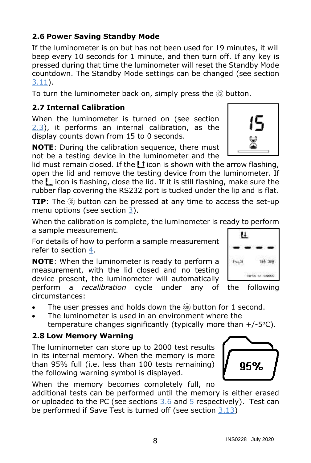### <span id="page-11-0"></span>**2.6 Power Saving Standby Mode**

If the luminometer is on but has not been used for 19 minutes, it will beep every 10 seconds for 1 minute, and then turn off. If any key is pressed during that time the luminometer will reset the Standby Mode countdown. The Standby Mode settings can be changed (see section [3.11\)](#page-17-2).

To turn the luminometer back on, simply press the  $\circledcirc$  button.

### <span id="page-11-3"></span>**2.7 Internal Calibration**

<span id="page-11-1"></span>When the luminometer is turned on (see section [2.3\)](#page-9-0), it performs an internal calibration, as the display counts down from 15 to 0 seconds.

**NOTE**: During the calibration sequence, there must not be a testing device in the luminometer and the

lid must remain closed. If the  $L1$  icon is shown with the arrow flashing, open the lid and remove the testing device from the luminometer. If the  $l_{\perp}$  icon is flashing, close the lid. If it is still flashing, make sure the rubber flap covering the RS232 port is tucked under the lip and is flat.

**TIP**: The  $\mathcal{R}$  button can be pressed at any time to access the set-up menu options (see section [3\)](#page-12-0).

When the calibration is complete, the luminometer is ready to perform a sample measurement.

For details of how to perform a sample measurement refer to section [4.](#page-20-0)

**NOTE**: When the luminometer is ready to perform a measurement, with the lid closed and no testing device present, the luminometer will automatically perform a *recalibration* cycle under any of the following circumstances:

- The user presses and holds down the  $\circledast$  button for 1 second.
- The luminometer is used in an environment where the temperature changes significantly (typically more than  $+/-5$ °C).

### **2.8 Low Memory Warning**

<span id="page-11-2"></span>The luminometer can store up to 2000 test results in its internal memory. When the memory is more than 95% full (i.e. less than 100 tests remaining) the following warning symbol is displayed.

When the memory becomes completely full, no

additional tests can be performed until the memory is either erased or uploaded to the PC (see sections [3.6](#page-15-2) and [5](#page-22-1) respectively). Test can be performed if Save Test is turned off (see section [3.13\)](#page-18-1)





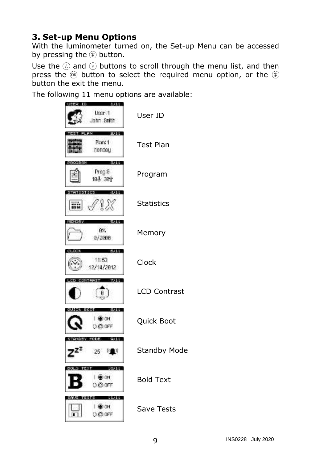# <span id="page-12-0"></span>**3. Set-up Menu Options**

With the luminometer turned on, the Set-up Menu can be accessed by pressing the  $\mathcal{R}$  button.

Use the  $\textcircled{a}$  and  $\textcircled{v}$  buttons to scroll through the menu list, and then press the  $\circledast$  button to select the required menu option, or the  $\circledast$ button the exit the menu.

The following 11 menu options are available:

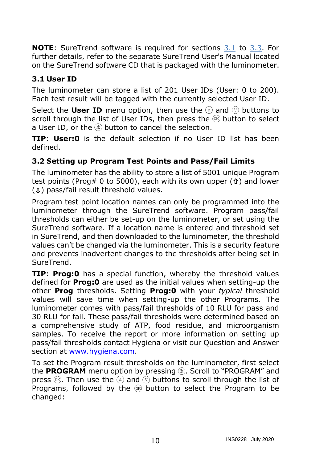**NOTE**: SureTrend software is required for sections [3.1](#page-13-0) to [3.3.](#page-14-0) For further details, refer to the separate SureTrend User's Manual located on the SureTrend software CD that is packaged with the luminometer.

### <span id="page-13-0"></span>**3.1 User ID**

The luminometer can store a list of 201 User IDs (User: 0 to 200). Each test result will be tagged with the currently selected User ID.

Select the **User ID** menu option, then use the  $\widehat{A}$  and  $\widehat{v}$  buttons to scroll through the list of User IDs, then press the  $\circledast$  button to select a User ID, or the  $\circledast$  button to cancel the selection.

**TIP**: **User:0** is the default selection if no User ID list has been defined.

### <span id="page-13-1"></span>**3.2 Setting up Program Test Points and Pass/Fail Limits**

The luminometer has the ability to store a list of 5001 unique Program test points (Prog# 0 to 5000), each with its own upper  $(f)$  and lower  $(\text{\ensuremath{\uplus}})$  pass/fail result threshold values.

Program test point location names can only be programmed into the luminometer through the SureTrend software. Program pass/fail thresholds can either be set-up on the luminometer, or set using the SureTrend software. If a location name is entered and threshold set in SureTrend, and then downloaded to the luminometer, the threshold values can't be changed via the luminometer. This is a security feature and prevents inadvertent changes to the thresholds after being set in SureTrend.

**TIP**: **Prog:0** has a special function, whereby the threshold values defined for **Prog:0** are used as the initial values when setting-up the other **Prog** thresholds. Setting **Prog:0** with your *typical* threshold values will save time when setting-up the other Programs. The luminometer comes with pass/fail thresholds of 10 RLU for pass and 30 RLU for fail. These pass/fail thresholds were determined based on a comprehensive study of ATP, food residue, and microorganism samples. To receive the report or more information on setting up pass/fail thresholds contact Hygiena or visit our Question and Answer section at [www.hygiena.com.](http://www.hygiena.com/)

To set the Program result thresholds on the luminometer, first select the PROGRAM menu option by pressing . Scroll to "PROGRAM" and press  $\circledast$ . Then use the  $\circledast$  and  $\circledast$  buttons to scroll through the list of Programs, followed by the  $\mathcal{R}$  button to select the Program to be changed: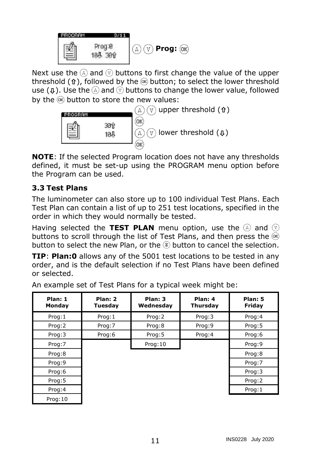

Next use the  $\textcircled{a}$  and  $\textcircled{v}$  buttons to first change the value of the upper threshold ( $\hat{\mathbf{t}}$ ), followed by the  $\circledast$  button; to select the lower threshold use ( $\phi$ ). Use the  $\textcircled{a}$  and  $\textcircled{v}$  buttons to change the lower value, followed by the  $\infty$  button to store the new values:



**NOTE**: If the selected Program location does not have any thresholds defined, it must be set-up using the PROGRAM menu option before the Program can be used.

### <span id="page-14-0"></span>**3.3 Test Plans**

The luminometer can also store up to 100 individual Test Plans. Each Test Plan can contain a list of up to 251 test locations, specified in the order in which they would normally be tested.

Having selected the **TEST PLAN** menu option, use the  $\widehat{A}$  and  $\widehat{v}$ buttons to scroll through the list of Test Plans, and then press the  $\circledast$ button to select the new Plan, or the  $\mathcal{R}$  button to cancel the selection.

**TIP**: **Plan:0** allows any of the 5001 test locations to be tested in any order, and is the default selection if no Test Plans have been defined or selected.

| Plan: 1<br>Monday | Plan: 2<br>Tuesday | Plan: 3<br>Wednesday | Plan: 4<br>Thursday | Plan: 5<br>Friday |
|-------------------|--------------------|----------------------|---------------------|-------------------|
| Prog:1            | Prog:1             | Prog: 2              | Prog: 3             | Prog:4            |
| Prog:2            | Prog:7             | Prog:8               | Prog:9              | Prog: 5           |
| Prog:3            | Prog:6             | Prog: 5              | Prog:4              | Prog:6            |
| Prog:7            |                    | Prog: 10             |                     | Prog:9            |
| Prog:8            |                    |                      |                     | Prog:8            |
| Prog:9            |                    |                      |                     | Prog:7            |
| Prog:6            |                    |                      |                     | Prog: 3           |
| Prog:5            |                    |                      |                     | Prog:2            |
| Prog:4            |                    |                      |                     | Prog:1            |
| Prog: 10          |                    |                      |                     |                   |

An example set of Test Plans for a typical week might be: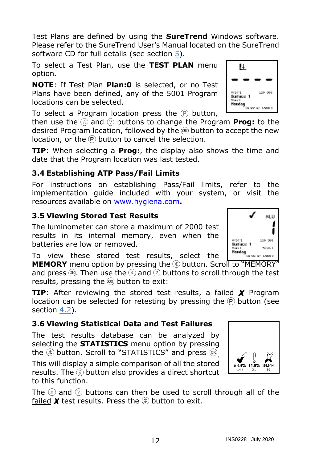Test Plans are defined by using the **SureTrend** Windows software. Please refer to the SureTrend User's Manual located on the SureTrend software CD for full details (see section [5\)](#page-22-1).

To select a Test Plan, use the **TEST PLAN** menu option.

**NOTE**: If Test Plan **Plan:0** is selected, or no Test Plans have been defined, any of the 5001 Program locations can be selected.

To select a Program location press the  $\circled{P}$  button,

then use the  $\textcircled{a}$  and  $\textcircled{v}$  buttons to change the Program **Prog:** to the desired Program location, followed by the  $\circledast$  button to accept the new location, or the  $\mathbb P$  button to cancel the selection.

**TIP**: When selecting a **Prog:**, the display also shows the time and date that the Program location was last tested.

### <span id="page-15-0"></span>**3.4 Establishing ATP Pass/Fail Limits**

For instructions on establishing Pass/Fail limits, refer to the implementation guide included with your system, or visit the resources available on [www.hygiena.com](http://www.hygiena.com/)**.**

### <span id="page-15-1"></span>**3.5 Viewing Stored Test Results**

The luminometer can store a maximum of 2000 test results in its internal memory, even when the batteries are low or removed.

To view these stored test results, select the

**MEMORY** menu option by pressing the <sup>p</sup> button. Scroll to "MEMORY" and press  $\circledast$ . Then use the  $\circledast$  and  $\circledast$  buttons to scroll through the test results, pressing the  $\infty$  button to exit:

TIP: After reviewing the stored test results, a failed X Program location can be selected for retesting by pressing the  $\circledR$  button (see section [4.2\)](#page-22-0).

### <span id="page-15-2"></span>**3.6 Viewing Statistical Data and Test Failures**

The test results database can be analyzed by selecting the **STATISTICS** menu option by pressing the  $\circledast$  button. Scroll to "STATISTICS" and press  $\circledast$ 

This will display a simple comparison of all the stored results. The  $\binom{3}{2}$  button also provides a direct shortcut to this function.

The  $\textcircled{a}$  and  $\textcircled{v}$  buttons can then be used to scroll through all of the failed  $\chi$  test results. Press the  $\mathcal X$  button to exit.





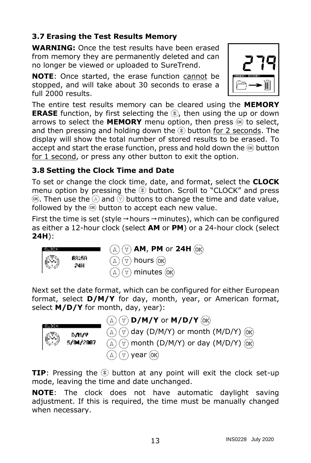## <span id="page-16-0"></span>**3.7 Erasing the Test Results Memory**

**WARNING:** Once the test results have been erased from memory they are permanently deleted and can no longer be viewed or uploaded to SureTrend.

**NOTE:** Once started, the erase function cannot be stopped, and will take about 30 seconds to erase a full 2000 results.



The entire test results memory can be cleared using the **MEMORY ERASE** function, by first selecting the  $(\mathbf{k})$ , then using the up or down arrows to select the **MEMORY** menu option, then press  $(\mathbf{R})$  to select, and then pressing and holding down the  $\mathcal{R}$  button for 2 seconds. The display will show the total number of stored results to be erased. To accept and start the erase function, press and hold down the  $\circledast$  button for 1 second, or press any other button to exit the option.

## <span id="page-16-1"></span>**3.8 Setting the Clock Time and Date**

To set or change the clock time, date, and format, select the **CLOCK** menu option by pressing the  $\mathcal{R}$  button. Scroll to "CLOCK" and press  $\circledast$ . Then use the  $\circledast$  and  $\circledast$  buttons to change the time and date value, followed by the  $\circledast$  button to accept each new value.

First the time is set (style  $\rightarrow$  hours  $\rightarrow$  minutes), which can be configured as either a 12-hour clock (select **AM** or **PM**) or a 24-hour clock (select **24H**):



Next set the date format, which can be configured for either European format, select **D/M/Y** for day, month, year, or American format, select **M/D/Y** for month, day, year):



**D/M/Y** or **M/D/Y**  $\circledcirc$  day (D/M/Y) or month (M/D/Y)  $\circledcirc$ A)  $\forall$ ) month (D/M/Y) or day (M/D/Y)  $\langle \alpha \alpha \rangle$ ) year (ok)

**TIP**: Pressing the  $\mathbb{R}$  button at any point will exit the clock set-up mode, leaving the time and date unchanged.

**NOTE**: The clock does not have automatic daylight saving adjustment. If this is required, the time must be manually changed when necessary.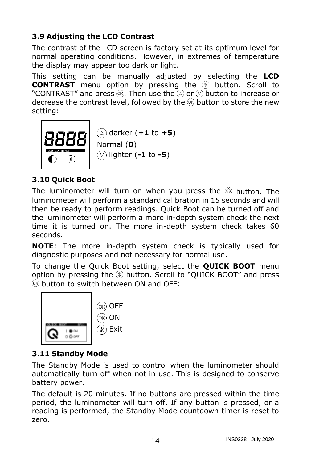# <span id="page-17-0"></span>**3.9 Adjusting the LCD Contrast**

The contrast of the LCD screen is factory set at its optimum level for normal operating conditions. However, in extremes of temperature the display may appear too dark or light.

This setting can be manually adjusted by selecting the **LCD CONTRAST** menu option by pressing the  $\circledast$  button. Scroll to "CONTRAST" and press  $\circledast$ . Then use the  $\circledast$  or  $\circledast$  button to increase or decrease the contrast level, followed by the  $\infty$  button to store the new setting:



## <span id="page-17-1"></span>**3.10 Quick Boot**

The luminometer will turn on when you press the  $\circledcirc$  button. The luminometer will perform a standard calibration in 15 seconds and will then be ready to perform readings. Quick Boot can be turned off and the luminometer will perform a more in-depth system check the next time it is turned on. The more in-depth system check takes 60 seconds.

**NOTE**: The more in-depth system check is typically used for diagnostic purposes and not necessary for normal use.

To change the Quick Boot setting, select the **QUICK BOOT** menu option by pressing the  $\circledast$  button. Scroll to "QUICK BOOT" and press  $<sup>OR</sup>$  button to switch between ON and OFF:</sup>



### <span id="page-17-2"></span>**3.11 Standby Mode**

The Standby Mode is used to control when the luminometer should automatically turn off when not in use. This is designed to conserve battery power.

The default is 20 minutes. If no buttons are pressed within the time period, the luminometer will turn off. If any button is pressed, or a reading is performed, the Standby Mode countdown timer is reset to zero.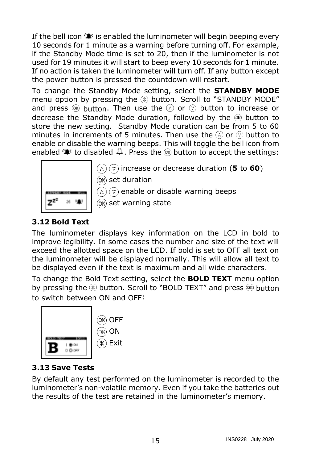If the bell icon  $\hat{P}$  is enabled the luminometer will begin beeping every 10 seconds for 1 minute as a warning before turning off. For example, if the Standby Mode time is set to 20, then if the luminometer is not used for 19 minutes it will start to beep every 10 seconds for 1 minute. If no action is taken the luminometer will turn off. If any button except the power button is pressed the countdown will restart.

To change the Standby Mode setting, select the **STANDBY MODE** menu option by pressing the  $\circledast$  button. Scroll to "STANDBY MODE" and press  $\circledast$  button. Then use the  $\circledast$  or  $\circledast$  button to increase or decrease the Standby Mode duration, followed by the  $\circledast$  button to store the new setting. Standby Mode duration can be from 5 to 60 minutes in increments of 5 minutes. Then use the  $\mathbb{\Omega}$  or  $\mathbb{\nabla}$  button to enable or disable the warning beeps. This will toggle the bell icon from enabled  $\hat{\psi}$  to disabled  $\hat{\psi}$ . Press the  $\hat{\infty}$  button to accept the settings:



 $(\forall)$  increase or decrease duration (5 to 60)

 $($ <sub>OK</sub> $)$  set duration

enable or disable warning beeps  $(\Delta)$  (  $\forall$ 

**OK**) set warning state

# <span id="page-18-0"></span>**3.12 Bold Text**

The luminometer displays key information on the LCD in bold to improve legibility. In some cases the number and size of the text will exceed the allotted space on the LCD. If bold is set to OFF all text on the luminometer will be displayed normally. This will allow all text to be displayed even if the text is maximum and all wide characters.

To change the Bold Text setting, select the **BOLD TEXT** menu option by pressing the  $\circledast$  button. Scroll to "BOLD TEXT" and press  $\circledast$  button to switch between ON and OFF:



### <span id="page-18-1"></span>**3.13 Save Tests**

By default any test performed on the luminometer is recorded to the luminometer's non-volatile memory. Even if you take the batteries out the results of the test are retained in the luminometer's memory.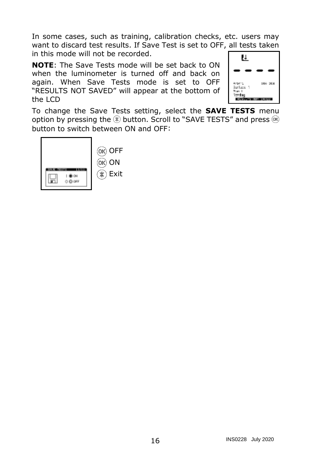In some cases, such as training, calibration checks, etc. users may want to discard test results. If Save Test is set to OFF, all tests taken in this mode will not be recorded.

**NOTE**: The Save Tests mode will be set back to ON when the luminometer is turned off and back on again. When Save Tests mode is set to OFF "RESULTS NOT SAVED" will appear at the bottom of the LCD



To change the Save Tests setting, select the **SAVE TESTS** menu option by pressing the  $\circledast$  button. Scroll to "SAVE TESTS" and press  $\circledast$ button to switch between ON and OFF:

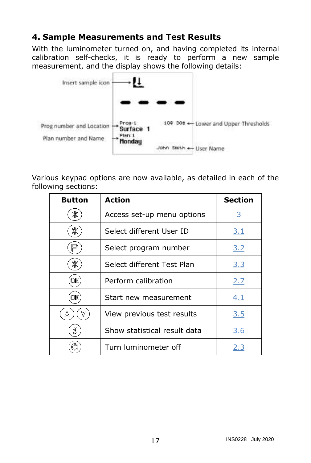# <span id="page-20-0"></span>**4. Sample Measurements and Test Results**

With the luminometer turned on, and having completed its internal calibration self-checks, it is ready to perform a new sample measurement, and the display shows the following details:



Various keypad options are now available, as detailed in each of the following sections:

| <b>Button</b> | Action                       | <b>Section</b> |
|---------------|------------------------------|----------------|
| Ж             | Access set-up menu options   | <u>3</u>       |
| Ж             | Select different User ID     | <u>3.1</u>     |
|               | Select program number        | 3.2            |
| Ж             | Select different Test Plan   | 3.3            |
|               | Perform calibration          | 2.7            |
|               | Start new measurement        | 4.1            |
| Δ             | View previous test results   | 3.5            |
| ñ.            | Show statistical result data | 3.6            |
|               | Turn luminometer off         | 2.3            |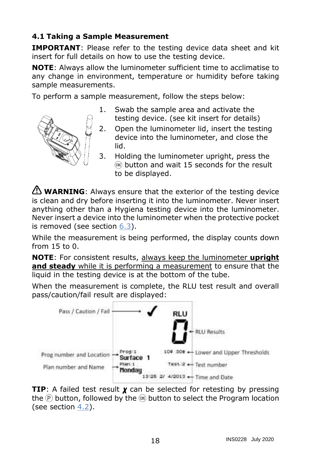## <span id="page-21-0"></span>**4.1 Taking a Sample Measurement**

**IMPORTANT**: Please refer to the testing device data sheet and kit insert for full details on how to use the testing device.

**NOTE**: Always allow the luminometer sufficient time to acclimatise to any change in environment, temperature or humidity before taking sample measurements.

To perform a sample measurement, follow the steps below:



- 1. Swab the sample area and activate the testing device. (see kit insert for details)
- 2. Open the luminometer lid, insert the testing device into the luminometer, and close the lid.
- 3. Holding the luminometer upright, press the  $<sup>OR</sup>$  button and wait 15 seconds for the result</sup> to be displayed.

**WARNING**: Always ensure that the exterior of the testing device is clean and dry before inserting it into the luminometer. Never insert anything other than a Hygiena testing device into the luminometer. Never insert a device into the luminometer when the protective pocket is removed (see section [6.3\)](#page-26-0).

While the measurement is being performed, the display counts down from 15 to 0.

**NOTE**: For consistent results, always keep the luminometer **upright and steady** while it is performing a measurement to ensure that the liquid in the testing device is at the bottom of the tube.

When the measurement is complete, the RLU test result and overall pass/caution/fail result are displayed:



**TIP**: A failed test result  $\chi$  can be selected for retesting by pressing the  $\circledR$  button, followed by the  $\circledR$  button to select the Program location (see section [4.2\)](#page-22-0).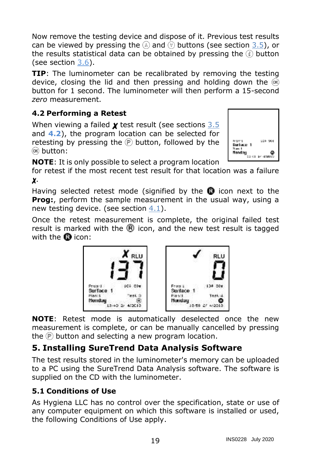Now remove the testing device and dispose of it. Previous test results can be viewed by pressing the  $\textcircled{a}$  and  $\textcircled{b}$  buttons (see section [3.5\)](#page-15-1), or the results statistical data can be obtained by pressing the  $\circledast$  button (see section [3.6\)](#page-15-2).

**TIP**: The luminometer can be recalibrated by removing the testing device, closing the lid and then pressing and holding down the  $\circledast$ button for 1 second. The luminometer will then perform a 15-second *zero* measurement.

# **4.2 Performing a Retest**

<span id="page-22-0"></span>When viewing a failed  $\chi$  test result (see sections  $3.5$ and **[4.2](#page-22-0)**), the program location can be selected for retesting by pressing the  $\mathbb P$  button, followed by the <sup>(OK)</sup> button:



RI I

134 504

13.56 07 4/2013

Φ

**NOTE**: It is only possible to select a program location

for retest if the most recent test result for that location was a failure .

Having selected retest mode (signified by the  $\mathbf 0$  icon next to the **Prog:**, perform the sample measurement in the usual way, using a new testing device. (see section [4.1\)](#page-21-0).

Once the retest measurement is complete, the original failed test result is marked with the  $\mathbb R$  icon, and the new test result is tagged with the  $\blacksquare$  icon:



**NOTE**: Retest mode is automatically deselected once the new measurement is complete, or can be manually cancelled by pressing the  $\mathbb P$  button and selecting a new program location.

# <span id="page-22-1"></span>**5. Installing SureTrend Data Analysis Software**

The test results stored in the luminometer's memory can be uploaded to a PC using the SureTrend Data Analysis software. The software is supplied on the CD with the luminometer.

# <span id="page-22-2"></span>**5.1 Conditions of Use**

As Hygiena LLC has no control over the specification, state or use of any computer equipment on which this software is installed or used, the following Conditions of Use apply.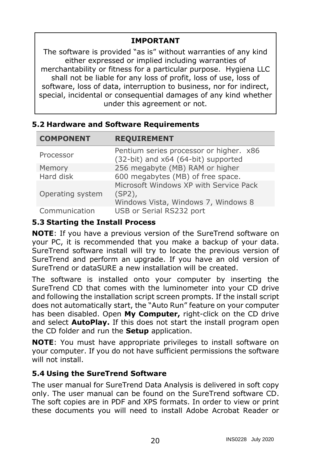## **IMPORTANT**

The software is provided "as is" without warranties of any kind either expressed or implied including warranties of merchantability or fitness for a particular purpose. Hygiena LLC shall not be liable for any loss of profit, loss of use, loss of software, loss of data, interruption to business, nor for indirect, special, incidental or consequential damages of any kind whether under this agreement or not.

#### <span id="page-23-0"></span>**5.2 Hardware and Software Requirements**

| <b>COMPONENT</b> | <b>REQUIREMENT</b>                                                                         |
|------------------|--------------------------------------------------------------------------------------------|
| Processor        | Pentium series processor or higher. x86<br>(32-bit) and x64 (64-bit) supported             |
| Memory           | 256 megabyte (MB) RAM or higher                                                            |
| Hard disk        | 600 megabytes (MB) of free space.                                                          |
| Operating system | Microsoft Windows XP with Service Pack<br>$(SP2)$ ,<br>Windows Vista, Windows 7, Windows 8 |
| Communication    | USB or Serial RS232 port                                                                   |

#### <span id="page-23-1"></span>**5.3 Starting the Install Process**

**NOTE**: If you have a previous version of the SureTrend software on your PC, it is recommended that you make a backup of your data. SureTrend software install will try to locate the previous version of SureTrend and perform an upgrade. If you have an old version of SureTrend or dataSURE a new installation will be created.

The software is installed onto your computer by inserting the SureTrend CD that comes with the luminometer into your CD drive and following the installation script screen prompts. If the install script does not automatically start, the "Auto Run" feature on your computer has been disabled. Open **My Computer,** right-click on the CD drive and select **AutoPlay.** If this does not start the install program open the CD folder and run the **Setup** application.

**NOTE**: You must have appropriate privileges to install software on your computer. If you do not have sufficient permissions the software will not install.

### <span id="page-23-2"></span>**5.4 Using the SureTrend Software**

The user manual for SureTrend Data Analysis is delivered in soft copy only. The user manual can be found on the SureTrend software CD. The soft copies are in PDF and XPS formats. In order to view or print these documents you will need to install Adobe Acrobat Reader or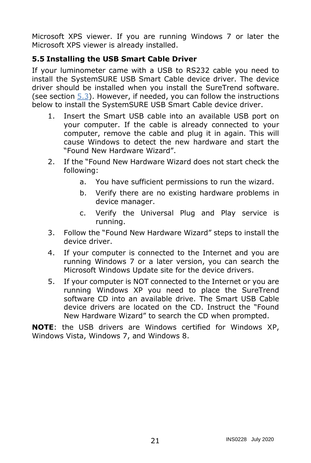Microsoft XPS viewer. If you are running Windows 7 or later the Microsoft XPS viewer is already installed.

# <span id="page-24-0"></span>**5.5 Installing the USB Smart Cable Driver**

If your luminometer came with a USB to RS232 cable you need to install the SystemSURE USB Smart Cable device driver. The device driver should be installed when you install the SureTrend software. (see section  $5.3$ ). However, if needed, you can follow the instructions below to install the SystemSURE USB Smart Cable device driver.

- 1. Insert the Smart USB cable into an available USB port on your computer. If the cable is already connected to your computer, remove the cable and plug it in again. This will cause Windows to detect the new hardware and start the "Found New Hardware Wizard".
- 2. If the "Found New Hardware Wizard does not start check the following:
	- a. You have sufficient permissions to run the wizard.
	- b. Verify there are no existing hardware problems in device manager.
	- c. Verify the Universal Plug and Play service is running.
- 3. Follow the "Found New Hardware Wizard" steps to install the device driver.
- 4. If your computer is connected to the Internet and you are running Windows 7 or a later version, you can search the Microsoft Windows Update site for the device drivers.
- 5. If your computer is NOT connected to the Internet or you are running Windows XP you need to place the SureTrend software CD into an available drive. The Smart USB Cable device drivers are located on the CD. Instruct the "Found New Hardware Wizard" to search the CD when prompted.

**NOTE**: the USB drivers are Windows certified for Windows XP, Windows Vista, Windows 7, and Windows 8.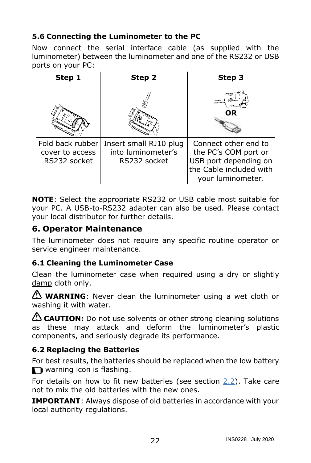## <span id="page-25-0"></span>**5.6 Connecting the Luminometer to the PC**

Now connect the serial interface cable (as supplied with the luminometer) between the luminometer and one of the RS232 or USB ports on your PC:

| Step 1                                              | Step 2                                                       | Step 3                                                                                                                |
|-----------------------------------------------------|--------------------------------------------------------------|-----------------------------------------------------------------------------------------------------------------------|
|                                                     |                                                              | OR                                                                                                                    |
| Fold back rubber<br>cover to access<br>RS232 socket | Insert small RJ10 plug<br>into luminometer's<br>RS232 socket | Connect other end to<br>the PC's COM port or<br>USB port depending on<br>the Cable included with<br>your luminometer. |

**NOTE**: Select the appropriate RS232 or USB cable most suitable for your PC. A USB-to-RS232 adapter can also be used. Please contact your local distributor for further details.

## <span id="page-25-1"></span>**6. Operator Maintenance**

The luminometer does not require any specific routine operator or service engineer maintenance.

#### <span id="page-25-2"></span>**6.1 Cleaning the Luminometer Case**

Clean the luminometer case when required using a dry or slightly damp cloth only.

**WARNING**: Never clean the luminometer using a wet cloth or washing it with water.

**CAUTION:** Do not use solvents or other strong cleaning solutions as these may attack and deform the luminometer's plastic components, and seriously degrade its performance.

### <span id="page-25-3"></span>**6.2 Replacing the Batteries**

For best results, the batteries should be replaced when the low battery warning icon is flashing.

For details on how to fit new batteries (see section  $2.2$ ). Take care not to mix the old batteries with the new ones.

**IMPORTANT**: Always dispose of old batteries in accordance with your local authority regulations.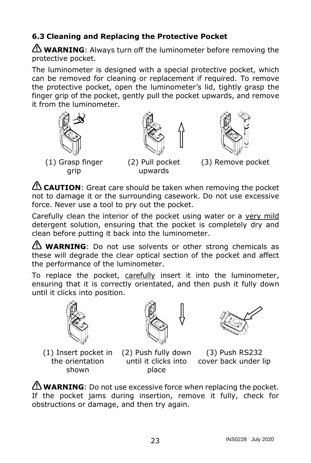# <span id="page-26-0"></span>**6.3 Cleaning and Replacing the Protective Pocket**

WARNING: Always turn off the luminometer before removing the protective pocket.

The luminometer is designed with a special protective pocket, which can be removed for cleaning or replacement if required. To remove the protective pocket, open the luminometer's lid, tightly grasp the finger grip of the pocket, gently pull the pocket upwards, and remove it from the luminometer.



**CAUTION**: Great care should be taken when removing the pocket not to damage it or the surrounding casework. Do not use excessive force. Never use a tool to pry out the pocket.

Carefully clean the interior of the pocket using water or a very mild detergent solution, ensuring that the pocket is completely dry and clean before putting it back into the luminometer.

**WARNING**: Do not use solvents or other strong chemicals as these will degrade the clear optical section of the pocket and affect the performance of the luminometer.

To replace the pocket, carefully insert it into the luminometer, ensuring that it is correctly orientated, and then push it fully down until it clicks into position.



the orientation shown



(1) Insert pocket in (2) Push fully down place

until it clicks into cover back under lip (3) Push RS232

**WARNING**: Do not use excessive force when replacing the pocket. If the pocket jams during insertion, remove it fully, check for obstructions or damage, and then try again.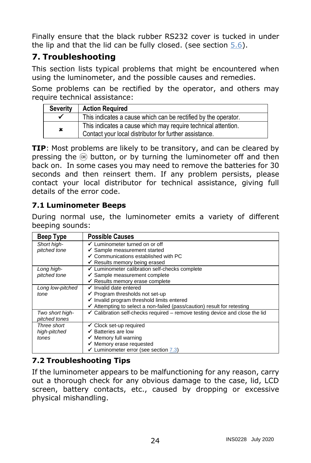Finally ensure that the black rubber RS232 cover is tucked in under the lip and that the lid can be fully closed. (see section  $5.6$ ).

# <span id="page-27-0"></span>**7. Troubleshooting**

This section lists typical problems that might be encountered when using the luminometer, and the possible causes and remedies.

Some problems can be rectified by the operator, and others may require technical assistance:

| <b>Severity</b> | <b>Action Required</b>                                                                                                  |
|-----------------|-------------------------------------------------------------------------------------------------------------------------|
|                 | This indicates a cause which can be rectified by the operator.                                                          |
| ×               | This indicates a cause which may require technical attention.<br>Contact your local distributor for further assistance. |

**TIP**: Most problems are likely to be transitory, and can be cleared by pressing the  $\infty$  button, or by turning the luminometer off and then back on. In some cases you may need to remove the batteries for 30 seconds and then reinsert them. If any problem persists, please contact your local distributor for technical assistance, giving full details of the error code.

### <span id="page-27-1"></span>**7.1 Luminometer Beeps**

During normal use, the luminometer emits a variety of different beeping sounds:

| Beep Type        | <b>Possible Causes</b>                                                                  |
|------------------|-----------------------------------------------------------------------------------------|
| Short high-      | ✔ Luminometer turned on or off                                                          |
| pitched tone     | ✔ Sample measurement started                                                            |
|                  | ✔ Communications established with PC                                                    |
|                  | ◆ Results memory being erased                                                           |
| Long high-       | Luminometer calibration self-checks complete                                            |
| pitched tone     | ✔ Sample measurement complete                                                           |
|                  | ✔ Results memory erase complete                                                         |
| Long low-pitched | ✔ Invalid date entered                                                                  |
| tone             | ✔ Program thresholds not set-up                                                         |
|                  | ✔ Invalid program threshold limits entered                                              |
|                  | ✔ Attempting to select a non-failed (pass/caution) result for retesting                 |
| Two short high-  | $\checkmark$ Calibration self-checks required – remove testing device and close the lid |
| pitched tones    |                                                                                         |
| Three short      | ✔ Clock set-up required                                                                 |
| high-pitched     | $\checkmark$ Batteries are low                                                          |
| tones            | $\checkmark$ Memory full warning                                                        |
|                  | ✔ Memory erase requested                                                                |
|                  | ✔ Luminometer error (see section 7.3)                                                   |

# <span id="page-27-2"></span>**7.2 Troubleshooting Tips**

If the luminometer appears to be malfunctioning for any reason, carry out a thorough check for any obvious damage to the case, lid, LCD screen, battery contacts, etc., caused by dropping or excessive physical mishandling.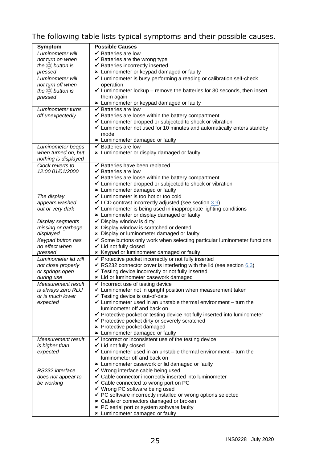# The following table lists typical symptoms and their possible causes.

| Symptom                      | <b>Possible Causes</b>                                                                                                           |  |  |  |
|------------------------------|----------------------------------------------------------------------------------------------------------------------------------|--|--|--|
| Luminometer will             | ✔ Batteries are low                                                                                                              |  |  |  |
| not turn on when             | ✔ Batteries are the wrong type                                                                                                   |  |  |  |
| the $\circledcirc$ button is | ✔ Batteries incorrectly inserted                                                                                                 |  |  |  |
| pressed                      | * Luminometer or keypad damaged or faulty                                                                                        |  |  |  |
| Luminometer will             | ► Luminometer is busy performing a reading or calibration self-check                                                             |  |  |  |
| not turn off when            | operation                                                                                                                        |  |  |  |
| the $\circledcirc$ button is | $\checkmark$ Luminometer lockup - remove the batteries for 30 seconds, then insert                                               |  |  |  |
| pressed                      | them again                                                                                                                       |  |  |  |
|                              | * Luminometer or keypad damaged or faulty                                                                                        |  |  |  |
|                              | Batteries are low<br>✔                                                                                                           |  |  |  |
| Luminometer turns            | ✔ Batteries are loose within the battery compartment                                                                             |  |  |  |
| off unexpectedly             |                                                                                                                                  |  |  |  |
|                              | ► Luminometer dropped or subjected to shock or vibration<br>Luminometer not used for 10 minutes and automatically enters standby |  |  |  |
|                              | mode                                                                                                                             |  |  |  |
|                              |                                                                                                                                  |  |  |  |
|                              | * Luminometer damaged or faulty                                                                                                  |  |  |  |
| Luminometer beeps            | ✔ Batteries are low                                                                                                              |  |  |  |
| when turned on, but          | * Luminometer or display damaged or faulty                                                                                       |  |  |  |
| nothing is displayed         |                                                                                                                                  |  |  |  |
| Clock reverts to             | ✔ Batteries have been replaced                                                                                                   |  |  |  |
| 12:00 01/01/2000             | ✔ Batteries are low                                                                                                              |  |  |  |
|                              | ✔ Batteries are loose within the battery compartment                                                                             |  |  |  |
|                              | ✔ Luminometer dropped or subjected to shock or vibration                                                                         |  |  |  |
|                              | * Luminometer damaged or faulty                                                                                                  |  |  |  |
| The display                  | ✔ Luminometer is too hot or too cold                                                                                             |  |  |  |
| appears washed               | $\checkmark$ LCD contrast incorrectly adjusted (see section 3.9)                                                                 |  |  |  |
| out or very dark             | ✔ Luminometer is being used in inappropriate lighting conditions                                                                 |  |  |  |
|                              | * Luminometer or display damaged or faulty                                                                                       |  |  |  |
| Display segments             | ✔ Display window is dirty                                                                                                        |  |  |  |
| missing or garbage           | * Display window is scratched or dented                                                                                          |  |  |  |
| displayed                    | * Display or luminometer damaged or faulty                                                                                       |  |  |  |
| Keypad button has            | Some buttons only work when selecting particular luminometer functions                                                           |  |  |  |
| no effect when               | ✔ Lid not fully closed                                                                                                           |  |  |  |
| pressed                      | * Keypad or luminometer damaged or faulty                                                                                        |  |  |  |
| Luminometer lid will         | ✔ Protective pocket incorrectly or not fully inserted                                                                            |  |  |  |
| not close properly           | ◆ RS232 connector cover is interfering with the lid (see section $6.3$ )                                                         |  |  |  |
| or springs open              | ✔ Testing device incorrectly or not fully inserted                                                                               |  |  |  |
| during use                   | * Lid or luminometer casework damaged                                                                                            |  |  |  |
| Measurement result           | ✔ Incorrect use of testing device                                                                                                |  |  |  |
| is always zero RLU           | ✔ Luminometer not in upright position when measurement taken                                                                     |  |  |  |
| or is much lower             | ✔ Testing device is out-of-date                                                                                                  |  |  |  |
| expected                     | $\checkmark$ Luminometer used in an unstable thermal environment - turn the                                                      |  |  |  |
|                              | luminometer off and back on                                                                                                      |  |  |  |
|                              | ✔ Protective pocket or testing device not fully inserted into luminometer                                                        |  |  |  |
|                              | ✔ Protective pocket dirty or severely scratched                                                                                  |  |  |  |
|                              | * Protective pocket damaged                                                                                                      |  |  |  |
|                              | * Luminometer damaged or faulty                                                                                                  |  |  |  |
| Measurement result           | Incorrect or inconsistent use of the testing device                                                                              |  |  |  |
| is higher than               | Lid not fully closed                                                                                                             |  |  |  |
| expected                     | $\checkmark$ Luminometer used in an unstable thermal environment - turn the                                                      |  |  |  |
|                              | luminometer off and back on                                                                                                      |  |  |  |
|                              | * Luminometer casework or lid damaged or faulty                                                                                  |  |  |  |
| RS232 interface              | ✔ Wrong interface cable being used                                                                                               |  |  |  |
| does not appear to           | ✔ Cable connector incorrectly inserted into luminometer                                                                          |  |  |  |
| be working                   | ✔ Cable connected to wrong port on PC                                                                                            |  |  |  |
|                              | ✔ Wrong PC software being used                                                                                                   |  |  |  |
|                              | ✔ PC software incorrectly installed or wrong options selected                                                                    |  |  |  |
|                              | * Cable or connectors damaged or broken                                                                                          |  |  |  |
|                              | * PC serial port or system software faulty                                                                                       |  |  |  |
|                              | * Luminometer damaged or faulty                                                                                                  |  |  |  |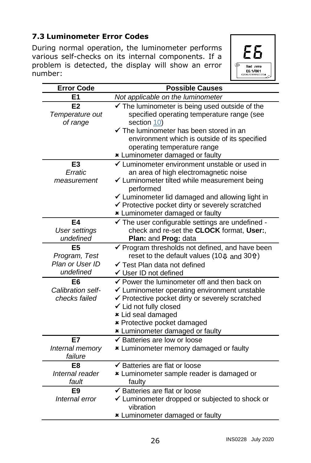# **7.3 Luminometer Error Codes**

<span id="page-29-0"></span>During normal operation, the luminometer performs various self-checks on its internal components. If a problem is detected, the display will show an error number:



| <b>Error Code</b>    | <b>Possible Causes</b>                                                        |
|----------------------|-------------------------------------------------------------------------------|
| E <sub>1</sub>       | Not applicable on the luminometer                                             |
| E2                   | $\checkmark$ The luminometer is being used outside of the                     |
| Temperature out      | specified operating temperature range (see                                    |
| of range             | section 10)                                                                   |
|                      | ✔ The luminometer has been stored in an                                       |
|                      | environment which is outside of its specified                                 |
|                      | operating temperature range                                                   |
|                      | * Luminometer damaged or faulty                                               |
| E <sub>3</sub>       | ✔ Luminometer environment unstable or used in                                 |
| Erratic              | an area of high electromagnetic noise                                         |
| measurement          | ✔ Luminometer tilted while measurement being                                  |
|                      | performed<br>✔ Luminometer lid damaged and allowing light in                  |
|                      | ✔ Protective pocket dirty or severely scratched                               |
|                      | * Luminometer damaged or faulty                                               |
| E4                   | $\checkmark$ The user configurable settings are undefined -                   |
| <b>User settings</b> | check and re-set the CLOCK format, User:,                                     |
| undefined            | Plan: and Prog: data                                                          |
| E5                   | ✔ Program thresholds not defined, and have been                               |
| Program, Test        | reset to the default values (10 $\overline{\psi}$ and 30 $\hat{\mathbf{n}}$ ) |
| Plan or User ID      | ✔ Test Plan data not defined                                                  |
| undefined            | ✔ User ID not defined                                                         |
| E6                   | ✔ Power the luminometer off and then back on                                  |
| Calibration self-    | ✔ Luminometer operating environment unstable                                  |
| checks failed        | ✔ Protective pocket dirty or severely scratched                               |
|                      | ✔ Lid not fully closed                                                        |
|                      | * Lid seal damaged                                                            |
|                      | * Protective pocket damaged                                                   |
|                      | * Luminometer damaged or faulty                                               |
| <b>E7</b>            | ✔ Batteries are low or loose                                                  |
| Internal memory      | * Luminometer memory damaged or faulty                                        |
| failure              |                                                                               |
| F8                   | ✔ Batteries are flat or loose                                                 |
| Internal reader      | * Luminometer sample reader is damaged or                                     |
| fault                | faulty                                                                        |
| E9<br>Internal error | ✔ Batteries are flat or loose                                                 |
|                      | ✔ Luminometer dropped or subjected to shock or<br>vibration                   |
|                      | * Luminometer damaged or faulty                                               |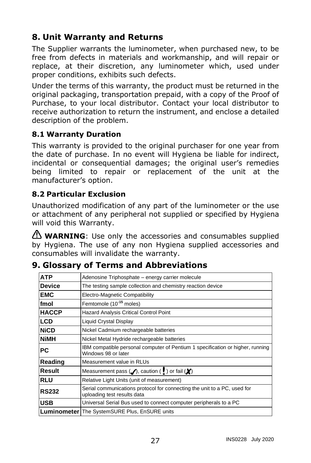# <span id="page-30-0"></span>**8. Unit Warranty and Returns**

The Supplier warrants the luminometer, when purchased new, to be free from defects in materials and workmanship, and will repair or replace, at their discretion, any luminometer which, used under proper conditions, exhibits such defects.

Under the terms of this warranty, the product must be returned in the original packaging, transportation prepaid, with a copy of the Proof of Purchase, to your local distributor. Contact your local distributor to receive authorization to return the instrument, and enclose a detailed description of the problem.

# <span id="page-30-1"></span>**8.1 Warranty Duration**

This warranty is provided to the original purchaser for one year from the date of purchase. In no event will Hygiena be liable for indirect, incidental or consequential damages; the original user's remedies being limited to repair or replacement of the unit at the manufacturer's option.

### <span id="page-30-2"></span>**8.2 Particular Exclusion**

Unauthorized modification of any part of the luminometer or the use or attachment of any peripheral not supplied or specified by Hygiena will void this Warranty.

**WARNING**: Use only the accessories and consumables supplied by Hygiena. The use of any non Hygiena supplied accessories and consumables will invalidate the warranty.

| <b>ATP</b>    | Adenosine Triphosphate - energy carrier molecule                                                        |  |
|---------------|---------------------------------------------------------------------------------------------------------|--|
| <b>Device</b> | The testing sample collection and chemistry reaction device                                             |  |
| <b>EMC</b>    | Electro-Magnetic Compatibility                                                                          |  |
| fmol          | Femtomole (10 <sup>-15</sup> moles)                                                                     |  |
| <b>HACCP</b>  | Hazard Analysis Critical Control Point                                                                  |  |
| <b>LCD</b>    | <b>Liquid Crystal Display</b>                                                                           |  |
| <b>NiCD</b>   | Nickel Cadmium rechargeable batteries                                                                   |  |
| <b>NiMH</b>   | Nickel Metal Hydride rechargeable batteries                                                             |  |
| РC            | IBM compatible personal computer of Pentium 1 specification or higher, running<br>Windows 98 or later   |  |
| Reading       | Measurement value in RLUs                                                                               |  |
| Result        | Measurement pass $($ /, caution ( $\frac{1}{2}$ ) or fail ( $\frac{1}{2}$ )                             |  |
| <b>RLU</b>    | Relative Light Units (unit of measurement)                                                              |  |
| <b>RS232</b>  | Serial communications protocol for connecting the unit to a PC, used for<br>uploading test results data |  |
| <b>USB</b>    | Universal Serial Bus used to connect computer peripherals to a PC                                       |  |
|               | <b>Luminometer</b> The SystemSURE Plus, EnSURE units                                                    |  |

# <span id="page-30-3"></span>**9. Glossary of Terms and Abbreviations**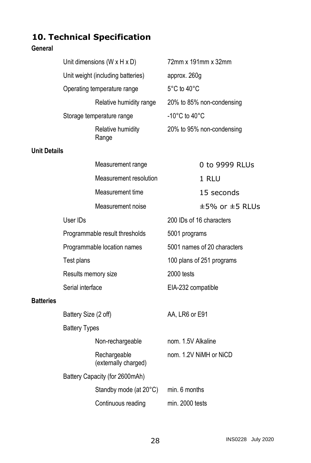# <span id="page-31-0"></span>**10. Technical Specification**

### **General**

|                     | Unit dimensions $(W \times H \times D)$ |                                      |                                     | 72mm x 191mm x 32mm       |  |
|---------------------|-----------------------------------------|--------------------------------------|-------------------------------------|---------------------------|--|
|                     | Unit weight (including batteries)       |                                      | approx. 260g                        |                           |  |
|                     | Operating temperature range             |                                      |                                     | 5°C to 40°C               |  |
|                     |                                         | Relative humidity range              |                                     | 20% to 85% non-condensing |  |
|                     |                                         | Storage temperature range            | -10 $^{\circ}$ C to 40 $^{\circ}$ C |                           |  |
|                     |                                         | Relative humidity<br>Range           |                                     | 20% to 95% non-condensing |  |
| <b>Unit Details</b> |                                         |                                      |                                     |                           |  |
|                     |                                         | Measurement range                    |                                     | 0 to 9999 RLUs            |  |
|                     |                                         | Measurement resolution               |                                     | 1 RLU                     |  |
|                     |                                         | Measurement time                     |                                     | 15 seconds                |  |
|                     |                                         | Measurement noise                    |                                     | $±5\%$ or $±5$ RLUs       |  |
|                     | User IDs                                |                                      |                                     | 200 IDs of 16 characters  |  |
|                     |                                         | Programmable result thresholds       | 5001 programs                       |                           |  |
|                     | Programmable location names             |                                      | 5001 names of 20 characters         |                           |  |
|                     | Test plans                              |                                      |                                     | 100 plans of 251 programs |  |
|                     | Results memory size                     |                                      | 2000 tests                          |                           |  |
|                     | Serial interface                        |                                      | EIA-232 compatible                  |                           |  |
| <b>Batteries</b>    |                                         |                                      |                                     |                           |  |
|                     | Battery Size (2 off)                    |                                      | AA, LR6 or E91                      |                           |  |
|                     | <b>Battery Types</b>                    |                                      |                                     |                           |  |
|                     |                                         | Non-rechargeable                     | nom. 1.5V Alkaline                  |                           |  |
|                     |                                         | Rechargeable<br>(externally charged) |                                     | nom. 1.2V NiMH or NiCD    |  |
|                     | Battery Capacity (for 2600mAh)          |                                      |                                     |                           |  |
|                     |                                         | Standby mode (at 20°C)               | min. 6 months                       |                           |  |
|                     |                                         | Continuous reading                   | min. 2000 tests                     |                           |  |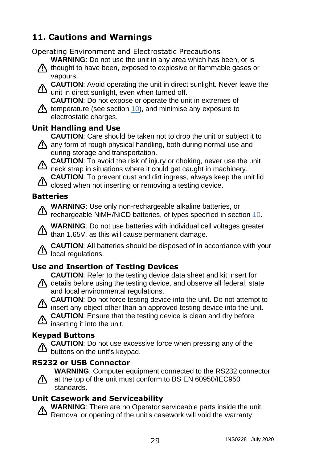# <span id="page-32-0"></span>**11. Cautions and Warnings**

Operating Environment and Electrostatic Precautions

**WARNING**: Do not use the unit in any area which has been, or is

 $\Lambda$  thought to have been, exposed to explosive or flammable gases or vapours.

**CAUTION**: Avoid operating the unit in direct sunlight. Never leave the unit in direct sunlight, even when turned off.

**CAUTION**: Do not expose or operate the unit in extremes of  $\Lambda$  temperature (see section [10\)](#page-31-0), and minimise any exposure to electrostatic charges.

# **Unit Handling and Use**

**CAUTION**: Care should be taken not to drop the unit or subject it to

- A any form of rough physical handling, both during normal use and during storage and transportation.
	- **CAUTION**: To avoid the risk of injury or choking, never use the unit neck strap in situations where it could get caught in machinery.

**CAUTION**: To prevent dust and dirt ingress, always keep the unit lid closed when not inserting or removing a testing device.

## **Batteries**

**WARNING**: Use only non-rechargeable alkaline batteries, or rechargeable NiMH/NiCD batteries, of types specified in section [10.](#page-31-0)

**WARNING**: Do not use batteries with individual cell voltages greater than 1.65V, as this will cause permanent damage.

**CAUTION**: All batteries should be disposed of in accordance with your  $\Delta$  local regulations.

# **Use and Insertion of Testing Devices**

**CAUTION**: Refer to the testing device data sheet and kit insert for

- $\bigwedge$  details before using the testing device, and observe all federal, state and local environmental regulations.
	- **CAUTION**: Do not force testing device into the unit. Do not attempt to insert any object other than an approved testing device into the unit.

**CAUTION**: Ensure that the testing device is clean and dry before  $\Delta$  inserting it into the unit.

### **Keypad Buttons**

**CAUTION**: Do not use excessive force when pressing any of the buttons on the unit's keypad.

### **RS232 or USB Connector**

**WARNING**: Computer equipment connected to the RS232 connector

 $\sqrt{N}$  at the top of the unit must conform to BS EN 60950/IEC950 standards.

### **Unit Casework and Serviceability**

**WARNING**: There are no Operator serviceable parts inside the unit. Removal or opening of the unit's casework will void the warranty.